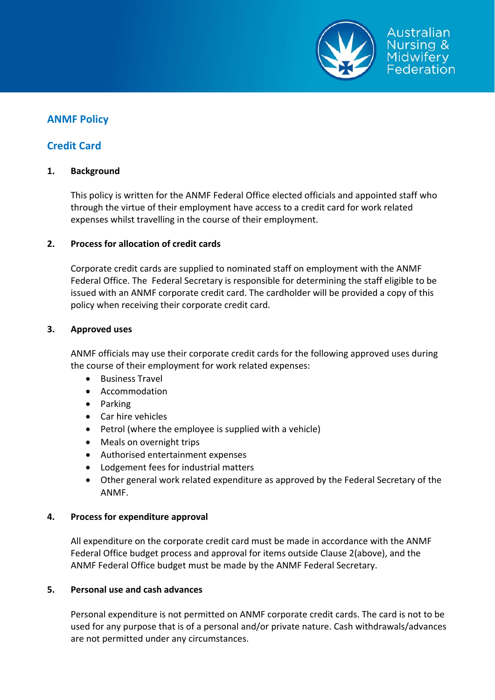

# **ANMF Policy**

## **Credit Card**

## **1. Background**

This policy is written for the ANMF Federal Office elected officials and appointed staff who through the virtue of their employment have access to a credit card for work related expenses whilst travelling in the course of their employment.

## **2. Process for allocation of credit cards**

Corporate credit cards are supplied to nominated staff on employment with the ANMF Federal Office. The Federal Secretary is responsible for determining the staff eligible to be issued with an ANMF corporate credit card. The cardholder will be provided a copy of this policy when receiving their corporate credit card.

## **3. Approved uses**

ANMF officials may use their corporate credit cards for the following approved uses during the course of their employment for work related expenses:

- Business Travel
- Accommodation
- Parking
- Car hire vehicles
- Petrol (where the employee is supplied with a vehicle)
- Meals on overnight trips
- Authorised entertainment expenses
- Lodgement fees for industrial matters
- Other general work related expenditure as approved by the Federal Secretary of the ANMF.

## **4. Process for expenditure approval**

All expenditure on the corporate credit card must be made in accordance with the ANMF Federal Office budget process and approval for items outside Clause 2(above), and the ANMF Federal Office budget must be made by the ANMF Federal Secretary.

## **5. Personal use and cash advances**

Personal expenditure is not permitted on ANMF corporate credit cards. The card is not to be used for any purpose that is of a personal and/or private nature. Cash withdrawals/advances are not permitted under any circumstances.